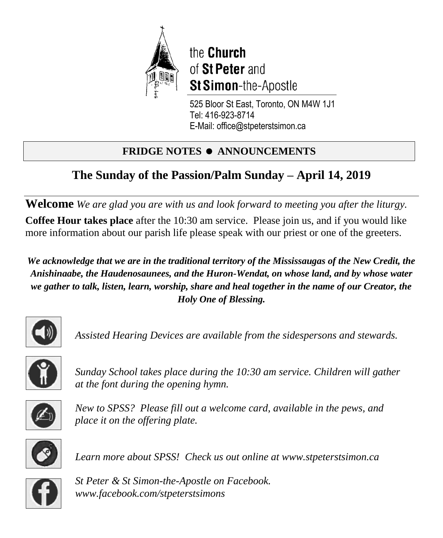

the Church of St Peter and St Simon-the-Apostle

525 Bloor St East, Toronto, ON M4W 1J1 Tel: 416-923-8714 E-Mail: office@stpeterstsimon.ca

# **FRIDGE NOTES • ANNOUNCEMENTS**

# **The Sunday of the Passion/Palm Sunday – April 14, 2019**

**Welcome** *We are glad you are with us and look forward to meeting you after the liturgy.*

**Coffee Hour takes place** after the 10:30 am service. Please join us, and if you would like more information about our parish life please speak with our priest or one of the greeters.

*We acknowledge that we are in the traditional territory of the Mississaugas of the New Credit, the Anishinaabe, the Haudenosaunees, and the Huron-Wendat, on whose land, and by whose water we gather to talk, listen, learn, worship, share and heal together in the name of our Creator, the Holy One of Blessing.*



*Assisted Hearing Devices are available from the sidespersons and stewards.*



*Sunday School takes place during the 10:30 am service. Children will gather at the font during the opening hymn.*



*New to SPSS? Please fill out a welcome card, available in the pews, and place it on the offering plate.* 



*Learn more about SPSS! Check us out online at www.stpeterstsimon.ca* 



*St Peter & St Simon-the-Apostle on Facebook. www.facebook.com/stpeterstsimons*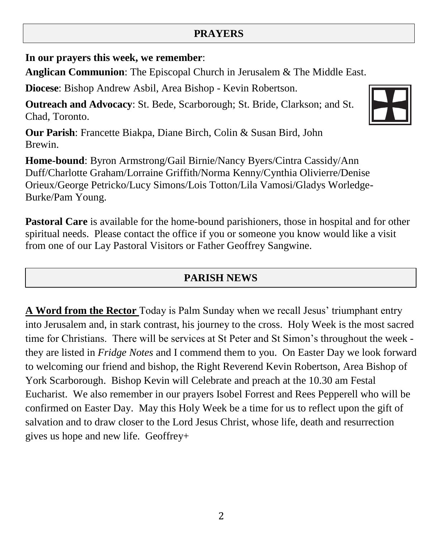### **PRAYERS**

**In our prayers this week, we remember**:

**Anglican Communion**: The Episcopal Church in Jerusalem & The Middle East.

**Diocese**: Bishop Andrew Asbil, Area Bishop - Kevin Robertson.

**Outreach and Advocacy**: St. Bede, Scarborough; St. Bride, Clarkson; and St. Chad, Toronto.

**Our Parish**: Francette Biakpa, Diane Birch, Colin & Susan Bird, John Brewin.

**Home-bound**: Byron Armstrong/Gail Birnie/Nancy Byers/Cintra Cassidy/Ann Duff/Charlotte Graham/Lorraine Griffith/Norma Kenny/Cynthia Olivierre/Denise Orieux/George Petricko/Lucy Simons/Lois Totton/Lila Vamosi/Gladys Worledge-Burke/Pam Young.

**Pastoral Care** is available for the home-bound parishioners, those in hospital and for other spiritual needs. Please contact the office if you or someone you know would like a visit from one of our Lay Pastoral Visitors or Father Geoffrey Sangwine.

## **PARISH NEWS**

**A Word from the Rector** Today is Palm Sunday when we recall Jesus' triumphant entry into Jerusalem and, in stark contrast, his journey to the cross. Holy Week is the most sacred time for Christians. There will be services at St Peter and St Simon's throughout the week they are listed in *Fridge Notes* and I commend them to you. On Easter Day we look forward to welcoming our friend and bishop, the Right Reverend Kevin Robertson, Area Bishop of York Scarborough. Bishop Kevin will Celebrate and preach at the 10.30 am Festal Eucharist. We also remember in our prayers Isobel Forrest and Rees Pepperell who will be confirmed on Easter Day. May this Holy Week be a time for us to reflect upon the gift of salvation and to draw closer to the Lord Jesus Christ, whose life, death and resurrection gives us hope and new life. Geoffrey+

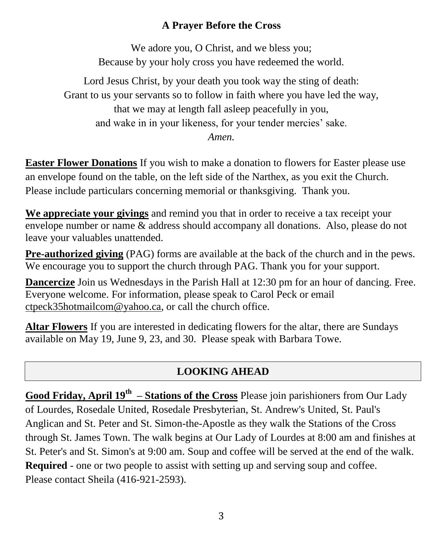### **A Prayer Before the Cross**

We adore you, O Christ, and we bless you; Because by your holy cross you have redeemed the world.

Lord Jesus Christ, by your death you took way the sting of death: Grant to us your servants so to follow in faith where you have led the way, that we may at length fall asleep peacefully in you, and wake in in your likeness, for your tender mercies' sake. *Amen.*

**Easter Flower Donations** If you wish to make a donation to flowers for Easter please use an envelope found on the table, on the left side of the Narthex, as you exit the Church. Please include particulars concerning memorial or thanksgiving. Thank you.

**We appreciate your givings** and remind you that in order to receive a tax receipt your envelope number or name & address should accompany all donations. Also, please do not leave your valuables unattended.

**Pre-authorized giving** (PAG) forms are available at the back of the church and in the pews. We encourage you to support the church through PAG. Thank you for your support.

**Dancercize** Join us Wednesdays in the Parish Hall at 12:30 pm for an hour of dancing. Free. Everyone welcome. For information, please speak to Carol Peck or email [ctpeck35hotmailcom@](mailto:ctpeck35@hotmail.com)yahoo.ca, or call the church office.

**Altar Flowers** If you are interested in dedicating flowers for the altar, there are Sundays available on May 19, June 9, 23, and 30. Please speak with Barbara Towe.

## **LOOKING AHEAD**

**Good Friday, April 19th – Stations of the Cross** Please join parishioners from Our Lady of Lourdes, Rosedale United, Rosedale Presbyterian, St. Andrew's United, St. Paul's Anglican and St. Peter and St. Simon-the-Apostle as they walk the Stations of the Cross through St. James Town. The walk begins at Our Lady of Lourdes at 8:00 am and finishes at St. Peter's and St. Simon's at 9:00 am. Soup and coffee will be served at the end of the walk. **Required** - one or two people to assist with setting up and serving soup and coffee. Please contact Sheila (416-921-2593).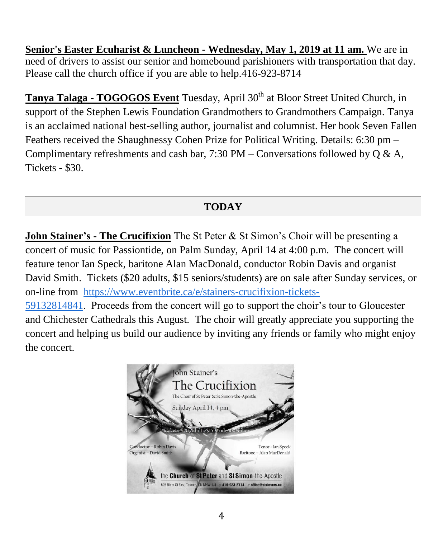**Senior's Easter Ecuharist & Luncheon - Wednesday, May 1, 2019 at 11 am.** We are in need of drivers to assist our senior and homebound parishioners with transportation that day. Please call the church office if you are able to help.416-923-8714

**Tanya Talaga - <b>TOGOGOS Event** Tuesday, April 30<sup>th</sup> at Bloor Street United Church, in support of the Stephen Lewis Foundation Grandmothers to Grandmothers Campaign. Tanya is an acclaimed national best-selling author, journalist and columnist. Her book Seven Fallen Feathers received the Shaughnessy Cohen Prize for Political Writing. Details: 6:30 pm – Complimentary refreshments and cash bar,  $7:30 \text{ PM} - \text{Conversions}$  followed by Q & A, Tickets - \$30.

## **TODAY**

**John Stainer's - The Crucifixion** The St Peter & St Simon's Choir will be presenting a concert of music for Passiontide, on Palm Sunday, April 14 at 4:00 p.m. The concert will feature tenor Ian Speck, baritone Alan MacDonald, conductor Robin Davis and organist David Smith. Tickets (\$20 adults, \$15 seniors/students) are on sale after Sunday services, or on-line from [https://www.eventbrite.ca/e/stainers-crucifixion-tickets-](https://www.eventbrite.ca/e/stainers-crucifixion-tickets-59132814841)[59132814841.](https://www.eventbrite.ca/e/stainers-crucifixion-tickets-59132814841) Proceeds from the concert will go to support the choir's tour to Gloucester and Chichester Cathedrals this August. The choir will greatly appreciate you supporting the concert and helping us build our audience by inviting any friends or family who might enjoy the concert.

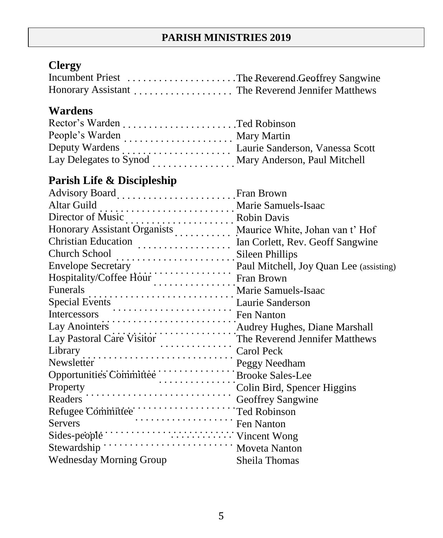# **Clergy**

| Incumbent Priest The Reverend Geoffrey Sangwine |  |
|-------------------------------------------------|--|
|                                                 |  |

## **Wardens**

|                        | Mary Martin                     |
|------------------------|---------------------------------|
| Deputy Wardens         | Laurie Sanderson, Vanessa Scott |
| Lay Delegates to Synod | Mary Anderson, Paul Mitchell    |

# **Parish Life & Discipleship**

| Advisory Board  Fran Brown                                                                                                                                                                                                                                           |               |
|----------------------------------------------------------------------------------------------------------------------------------------------------------------------------------------------------------------------------------------------------------------------|---------------|
| Altar Guild<br>Marie Samuels-Isaac                                                                                                                                                                                                                                   |               |
|                                                                                                                                                                                                                                                                      |               |
| Honorary Assistant Organists Maurice White, Johan van t' Hof                                                                                                                                                                                                         |               |
|                                                                                                                                                                                                                                                                      |               |
| Church School<br>Fillips                                                                                                                                                                                                                                             |               |
|                                                                                                                                                                                                                                                                      |               |
|                                                                                                                                                                                                                                                                      |               |
|                                                                                                                                                                                                                                                                      |               |
|                                                                                                                                                                                                                                                                      |               |
| Envelope Secretary<br>Paul Mitchell, Joy Quan Lee (assisting)<br>Hospitality/Coffee Hour<br>Fran Brown<br>Funerals<br>Marie Samuels-Isaac<br>Special Events<br>Laurie Samuels-Isaac<br>Special Events<br>Laurie Samuels-Isaac<br>Laurie Samuels-Is                   |               |
|                                                                                                                                                                                                                                                                      |               |
|                                                                                                                                                                                                                                                                      |               |
|                                                                                                                                                                                                                                                                      |               |
| Peggy Needham<br>Opportunities Committee<br>Property<br>Peggy Needham<br>Peggy Needham<br>Brooke Sales-Lee                                                                                                                                                           |               |
|                                                                                                                                                                                                                                                                      |               |
| Property<br>Readers<br>Colin Bird, Spencer Higgins<br>Geoffrey Sangwine                                                                                                                                                                                              |               |
|                                                                                                                                                                                                                                                                      |               |
| Readers<br>Refugee Committee<br>Committee<br>Committee<br>Committee<br>Committee<br>Committee<br>Committee<br>Committee<br>Committee<br>Committee<br>Committee<br>Committee<br>Committee<br>Committee<br>Committee<br>Committee<br>Committee<br>Committee<br>Committ |               |
|                                                                                                                                                                                                                                                                      |               |
|                                                                                                                                                                                                                                                                      |               |
| Moveta Nanton<br>Stewardship '                                                                                                                                                                                                                                       |               |
| <b>Wednesday Morning Group</b>                                                                                                                                                                                                                                       | Sheila Thomas |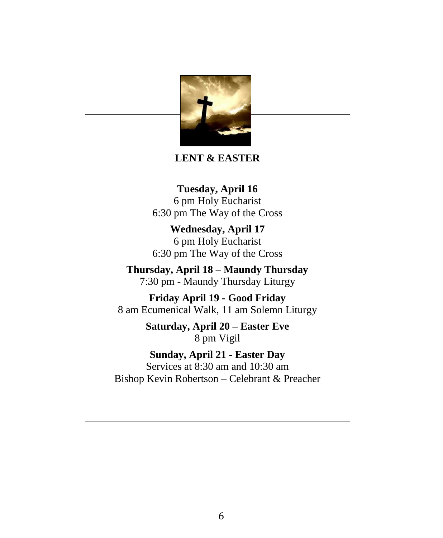

#### **LENT & EASTER**

**Tuesday, April 16** 6 pm Holy Eucharist 6:30 pm The Way of the Cross

**Wednesday, April 17** 6 pm Holy Eucharist 6:30 pm The Way of the Cross

**Thursday, April 18** – **Maundy Thursday** 7:30 pm - Maundy Thursday Liturgy

**Friday April 19 - Good Friday** 8 am Ecumenical Walk, 11 am Solemn Liturgy

> **Saturday, April 20 – Easter Eve** 8 pm Vigil

**Sunday, April 21 - Easter Day** Services at 8:30 am and 10:30 am Bishop Kevin Robertson – Celebrant & Preacher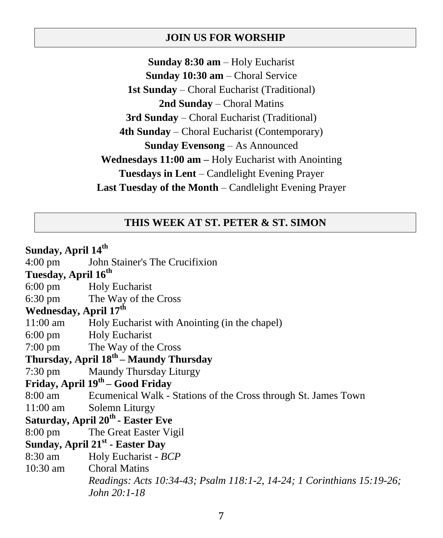#### **JOIN US FOR WORSHIP**

**Sunday 8:30 am** – Holy Eucharist **Sunday 10:30 am** – Choral Service **1st Sunday** – Choral Eucharist (Traditional) **2nd Sunday** – Choral Matins **3rd Sunday** – Choral Eucharist (Traditional) **4th Sunday** – Choral Eucharist (Contemporary) **Sunday Evensong** – As Announced **Wednesdays 11:00 am –** Holy Eucharist with Anointing **Tuesdays in Lent** – Candlelight Evening Prayer **Last Tuesday of the Month** – Candlelight Evening Prayer

#### **THIS WEEK AT ST. PETER & ST. SIMON**

**Sunday, April 14th** 4:00 pm John Stainer's The Crucifixion **Tuesday, April 16th** 6:00 pm Holy Eucharist 6:30 pm The Way of the Cross **Wednesday, April 17th** 11:00 am Holy Eucharist with Anointing (in the chapel) 6:00 pm Holy Eucharist 7:00 pm The Way of the Cross **Thursday, April 18th – Maundy Thursday** 7:30 pm Maundy Thursday Liturgy **Friday, April 19th – Good Friday** 8:00 am Ecumenical Walk - Stations of the Cross through St. James Town 11:00 am Solemn Liturgy **Saturday, April 20th - Easter Eve** 8:00 pm The Great Easter Vigil **Sunday, April 21st - Easter Day** 8:30 am Holy Eucharist - *BCP* 10:30 am Choral Matins *Readings: Acts 10:34-43; Psalm 118:1-2, 14-24; 1 Corinthians 15:19-26; John 20:1-18*